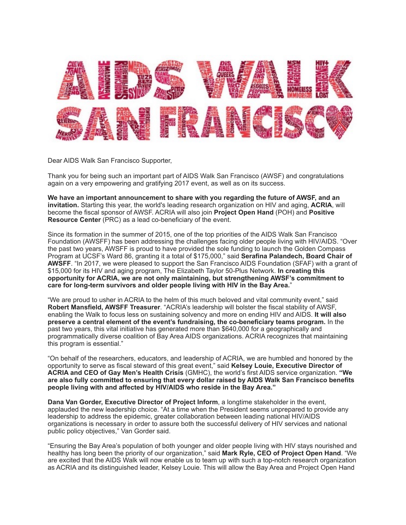

Dear AIDS Walk San Francisco Supporter,

Thank you for being such an important part of AIDS Walk San Francisco (AWSF) and congratulations again on a very empowering and gratifying 2017 event, as well as on its success.

**We have an important announcement to share with you regarding the future of AWSF, and an invitation.** Starting this year, the world's leading research organization on HIV and aging, **ACRIA**, will become the fiscal sponsor of AWSF. ACRIA will also join **Project Open Hand** (POH) and **Positive Resource Center** (PRC) as a lead co-beneficiary of the event.

Since its formation in the summer of 2015, one of the top priorities of the AIDS Walk San Francisco Foundation (AWSFF) has been addressing the challenges facing older people living with HIV/AIDS. "Over the past two years, AWSFF is proud to have provided the sole funding to launch the Golden Compass Program at UCSF's Ward 86, granting it a total of \$175,000," said **Serafina Palandech, Board Chair of AWSFF**. "In 2017, we were pleased to support the San Francisco AIDS Foundation (SFAF) with a grant of \$15,000 for its HIV and aging program, The Elizabeth Taylor 50-Plus Network. **In creating this opportunity for ACRIA, we are not only maintaining, but strengthening AWSF's commitment to care for long-term survivors and older people living with HIV in the Bay Area.**"

"We are proud to usher in ACRIA to the helm of this much beloved and vital community event," said **Robert Mansfield, AWSFF Treasurer**. "ACRIA's leadership will bolster the fiscal stability of AWSF, enabling the Walk to focus less on sustaining solvency and more on ending HIV and AIDS. **It will also preserve a central element of the event's fundraising, the co-beneficiary teams program.** In the past two years, this vital initiative has generated more than \$640,000 for a geographically and programmatically diverse coalition of Bay Area AIDS organizations. ACRIA recognizes that maintaining this program is essential."

"On behalf of the researchers, educators, and leadership of ACRIA, we are humbled and honored by the opportunity to serve as fiscal steward of this great event," said **Kelsey Louie, Executive Director of ACRIA and CEO of Gay Men's Health Crisis** (GMHC), the world's first AIDS service organization. **"We are also fully committed to ensuring that every dollar raised by AIDS Walk San Francisco benefits people living with and affected by HIV/AIDS who reside in the Bay Area."**

**Dana Van Gorder, Executive Director of Project Inform**, a longtime stakeholder in the event, applauded the new leadership choice. "At a time when the President seems unprepared to provide any leadership to address the epidemic, greater collaboration between leading national HIV/AIDS organizations is necessary in order to assure both the successful delivery of HIV services and national public policy objectives," Van Gorder said.

"Ensuring the Bay Area's population of both younger and older people living with HIV stays nourished and healthy has long been the priority of our organization," said **Mark Ryle, CEO of Project Open Hand**. "We are excited that the AIDS Walk will now enable us to team up with such a top-notch research organization as ACRIA and its distinguished leader, Kelsey Louie. This will allow the Bay Area and Project Open Hand